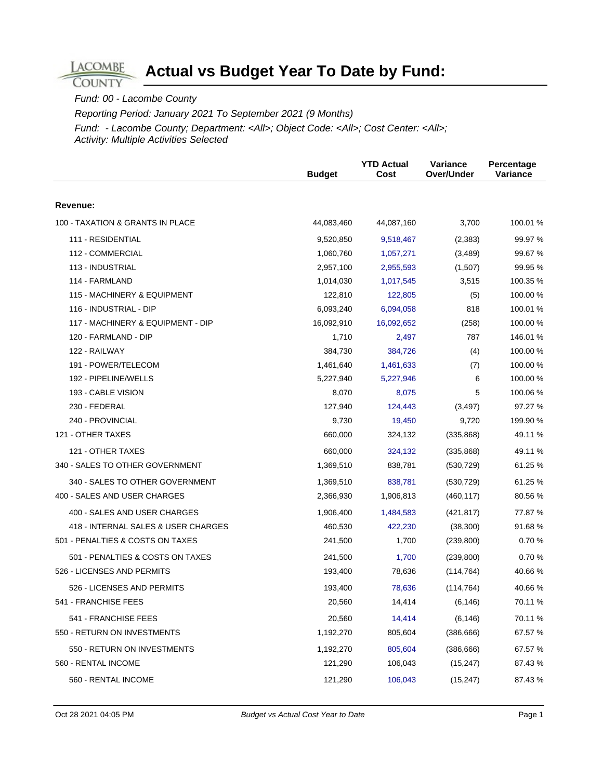#### Fund: 00 - Lacombe County

**LACOMBE COUNTY** 

Reporting Period: January 2021 To September 2021 (9 Months)

|                                     | <b>Budget</b> | <b>YTD Actual</b><br>Cost | <b>Variance</b><br>Over/Under | Percentage<br>Variance |
|-------------------------------------|---------------|---------------------------|-------------------------------|------------------------|
| Revenue:                            |               |                           |                               |                        |
| 100 - TAXATION & GRANTS IN PLACE    | 44,083,460    | 44,087,160                | 3,700                         | 100.01 %               |
| 111 - RESIDENTIAL                   | 9,520,850     | 9,518,467                 | (2, 383)                      | 99.97 %                |
| 112 - COMMERCIAL                    | 1,060,760     | 1,057,271                 | (3,489)                       | 99.67 %                |
| 113 - INDUSTRIAL                    | 2,957,100     | 2,955,593                 | (1,507)                       | 99.95 %                |
| 114 - FARMLAND                      | 1,014,030     | 1,017,545                 | 3,515                         | 100.35 %               |
| 115 - MACHINERY & EQUIPMENT         | 122,810       | 122,805                   | (5)                           | 100.00%                |
| 116 - INDUSTRIAL - DIP              | 6,093,240     | 6,094,058                 | 818                           | 100.01%                |
| 117 - MACHINERY & EQUIPMENT - DIP   | 16,092,910    | 16,092,652                | (258)                         | 100.00 %               |
| 120 - FARMLAND - DIP                | 1,710         | 2,497                     | 787                           | 146.01%                |
| 122 - RAILWAY                       | 384,730       | 384,726                   | (4)                           | 100.00%                |
| 191 - POWER/TELECOM                 | 1,461,640     | 1,461,633                 | (7)                           | 100.00 %               |
| 192 - PIPELINE/WELLS                | 5,227,940     | 5,227,946                 | 6                             | 100.00%                |
| 193 - CABLE VISION                  | 8,070         | 8,075                     | 5                             | 100.06%                |
| 230 - FEDERAL                       | 127,940       | 124,443                   | (3, 497)                      | 97.27 %                |
| 240 - PROVINCIAL                    | 9,730         | 19,450                    | 9,720                         | 199.90 %               |
| 121 - OTHER TAXES                   | 660,000       | 324,132                   | (335, 868)                    | 49.11 %                |
| 121 - OTHER TAXES                   | 660,000       | 324,132                   | (335, 868)                    | 49.11 %                |
| 340 - SALES TO OTHER GOVERNMENT     | 1,369,510     | 838,781                   | (530, 729)                    | 61.25 %                |
| 340 - SALES TO OTHER GOVERNMENT     | 1,369,510     | 838,781                   | (530, 729)                    | 61.25 %                |
| 400 - SALES AND USER CHARGES        | 2,366,930     | 1,906,813                 | (460, 117)                    | 80.56 %                |
| 400 - SALES AND USER CHARGES        | 1,906,400     | 1,484,583                 | (421, 817)                    | 77.87 %                |
| 418 - INTERNAL SALES & USER CHARGES | 460,530       | 422,230                   | (38, 300)                     | 91.68%                 |
| 501 - PENALTIES & COSTS ON TAXES    | 241,500       | 1,700                     | (239, 800)                    | 0.70%                  |
| 501 - PENALTIES & COSTS ON TAXES    | 241,500       | 1,700                     | (239, 800)                    | 0.70%                  |
| 526 - LICENSES AND PERMITS          | 193,400       | 78,636                    | (114, 764)                    | 40.66 %                |
| 526 - LICENSES AND PERMITS          | 193,400       | 78,636                    | (114, 764)                    | 40.66%                 |
| 541 - FRANCHISE FEES                | 20,560        | 14,414                    | (6, 146)                      | 70.11 %                |
| 541 - FRANCHISE FEES                | 20,560        | 14,414                    | (6, 146)                      | 70.11 %                |
| 550 - RETURN ON INVESTMENTS         | 1,192,270     | 805,604                   | (386, 666)                    | 67.57 %                |
| 550 - RETURN ON INVESTMENTS         | 1,192,270     | 805,604                   | (386, 666)                    | 67.57 %                |
| 560 - RENTAL INCOME                 | 121,290       | 106,043                   | (15, 247)                     | 87.43 %                |
| 560 - RENTAL INCOME                 | 121,290       | 106,043                   | (15, 247)                     | 87.43 %                |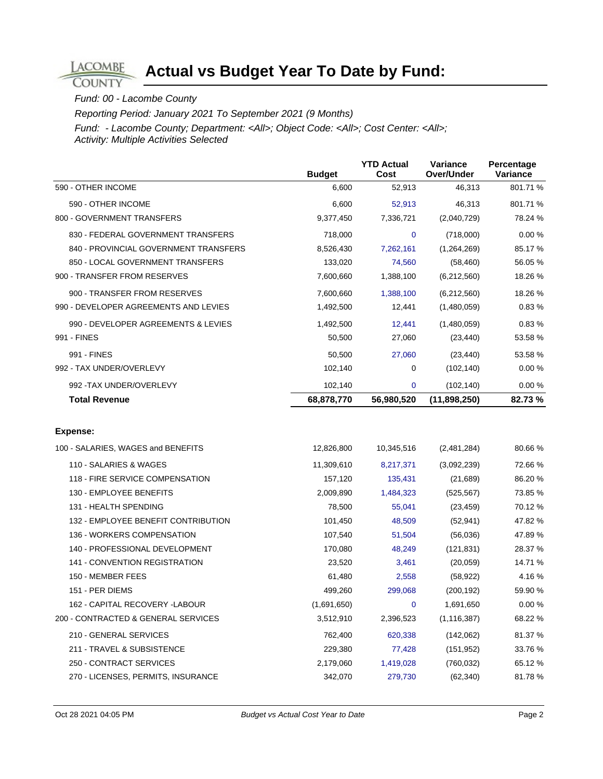#### Fund: 00 - Lacombe County

**LACOMBE COUNTY** 

Reporting Period: January 2021 To September 2021 (9 Months)

|                                       | <b>Budget</b> | <b>YTD Actual</b><br>Cost | Variance<br>Over/Under | Percentage<br>Variance |
|---------------------------------------|---------------|---------------------------|------------------------|------------------------|
| 590 - OTHER INCOME                    | 6,600         | 52,913                    | 46,313                 | 801.71%                |
| 590 - OTHER INCOME                    | 6,600         | 52,913                    | 46,313                 | 801.71 %               |
| 800 - GOVERNMENT TRANSFERS            | 9,377,450     | 7,336,721                 | (2,040,729)            | 78.24 %                |
| 830 - FEDERAL GOVERNMENT TRANSFERS    | 718,000       | $\mathbf 0$               | (718,000)              | 0.00%                  |
| 840 - PROVINCIAL GOVERNMENT TRANSFERS | 8,526,430     | 7,262,161                 | (1,264,269)            | 85.17 %                |
| 850 - LOCAL GOVERNMENT TRANSFERS      | 133,020       | 74,560                    | (58, 460)              | 56.05 %                |
| 900 - TRANSFER FROM RESERVES          | 7,600,660     | 1,388,100                 | (6,212,560)            | 18.26 %                |
| 900 - TRANSFER FROM RESERVES          | 7,600,660     | 1,388,100                 | (6,212,560)            | 18.26 %                |
| 990 - DEVELOPER AGREEMENTS AND LEVIES | 1,492,500     | 12,441                    | (1,480,059)            | 0.83%                  |
| 990 - DEVELOPER AGREEMENTS & LEVIES   | 1,492,500     | 12,441                    | (1,480,059)            | 0.83%                  |
| 991 - FINES                           | 50,500        | 27,060                    | (23, 440)              | 53.58 %                |
| 991 - FINES                           | 50,500        | 27,060                    | (23, 440)              | 53.58 %                |
| 992 - TAX UNDER/OVERLEVY              | 102,140       | 0                         | (102, 140)             | 0.00 %                 |
| 992 - TAX UNDER/OVERLEVY              | 102,140       | $\mathbf 0$               | (102, 140)             | 0.00%                  |
| <b>Total Revenue</b>                  | 68,878,770    | 56,980,520                | (11, 898, 250)         | 82.73%                 |
|                                       |               |                           |                        |                        |
| <b>Expense:</b>                       |               |                           |                        |                        |
| 100 - SALARIES, WAGES and BENEFITS    | 12,826,800    | 10,345,516                | (2,481,284)            | 80.66 %                |
| 110 - SALARIES & WAGES                | 11,309,610    | 8,217,371                 | (3,092,239)            | 72.66%                 |
| 118 - FIRE SERVICE COMPENSATION       | 157,120       | 135,431                   | (21, 689)              | 86.20%                 |
| 130 - EMPLOYEE BENEFITS               | 2,009,890     | 1,484,323                 | (525,567)              | 73.85 %                |
| 131 - HEALTH SPENDING                 | 78,500        | 55,041                    | (23, 459)              | 70.12 %                |
| 132 - EMPLOYEE BENEFIT CONTRIBUTION   | 101,450       | 48,509                    | (52, 941)              | 47.82 %                |
| 136 - WORKERS COMPENSATION            | 107,540       | 51,504                    | (56,036)               | 47.89%                 |
| 140 - PROFESSIONAL DEVELOPMENT        | 170,080       | 48,249                    | (121, 831)             | 28.37 %                |
| 141 - CONVENTION REGISTRATION         | 23,520        | 3,461                     | (20, 059)              | 14.71 %                |
| 150 - MEMBER FEES                     | 61,480        | 2,558                     | (58, 922)              | 4.16%                  |
| 151 - PER DIEMS                       | 499,260       | 299,068                   | (200, 192)             | 59.90 %                |
| 162 - CAPITAL RECOVERY -LABOUR        | (1,691,650)   | 0                         | 1,691,650              | $0.00 \%$              |
| 200 - CONTRACTED & GENERAL SERVICES   | 3,512,910     | 2,396,523                 | (1, 116, 387)          | 68.22 %                |
| 210 - GENERAL SERVICES                | 762,400       | 620,338                   | (142,062)              | 81.37 %                |
| 211 - TRAVEL & SUBSISTENCE            | 229,380       | 77,428                    | (151, 952)             | 33.76 %                |
| 250 - CONTRACT SERVICES               | 2,179,060     | 1,419,028                 | (760, 032)             | 65.12 %                |
| 270 - LICENSES, PERMITS, INSURANCE    | 342,070       | 279,730                   | (62, 340)              | 81.78%                 |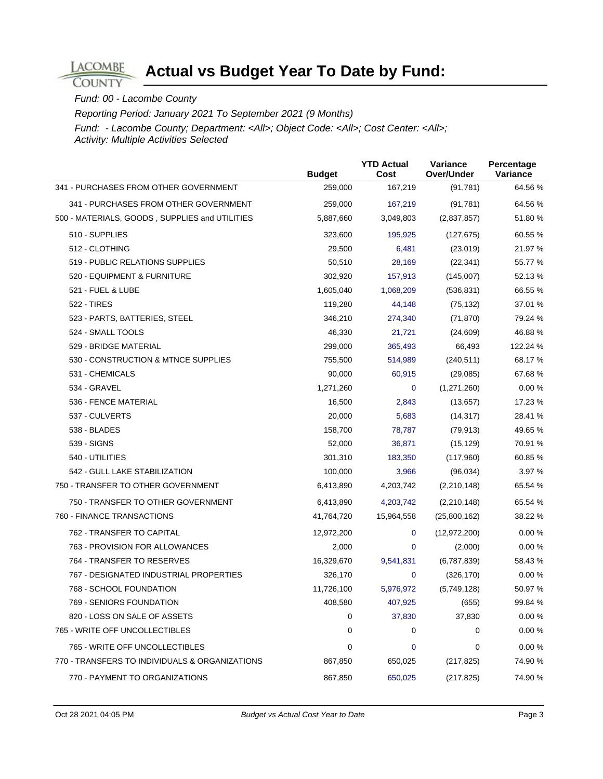#### Fund: 00 - Lacombe County

**LACOMBE COUNTY** 

Reporting Period: January 2021 To September 2021 (9 Months)

|                                                | <b>Budget</b> | <b>YTD Actual</b><br>Cost | Variance<br>Over/Under | Percentage<br>Variance |
|------------------------------------------------|---------------|---------------------------|------------------------|------------------------|
| 341 - PURCHASES FROM OTHER GOVERNMENT          | 259,000       | 167,219                   | (91, 781)              | 64.56 %                |
| 341 - PURCHASES FROM OTHER GOVERNMENT          | 259,000       | 167,219                   | (91, 781)              | 64.56 %                |
| 500 - MATERIALS, GOODS, SUPPLIES and UTILITIES | 5,887,660     | 3,049,803                 | (2,837,857)            | 51.80 %                |
| 510 - SUPPLIES                                 | 323,600       | 195,925                   | (127, 675)             | 60.55 %                |
| 512 - CLOTHING                                 | 29,500        | 6,481                     | (23,019)               | 21.97 %                |
| 519 - PUBLIC RELATIONS SUPPLIES                | 50,510        | 28,169                    | (22, 341)              | 55.77 %                |
| 520 - EQUIPMENT & FURNITURE                    | 302,920       | 157,913                   | (145,007)              | 52.13 %                |
| 521 - FUEL & LUBE                              | 1,605,040     | 1,068,209                 | (536, 831)             | 66.55 %                |
| <b>522 - TIRES</b>                             | 119,280       | 44,148                    | (75, 132)              | 37.01 %                |
| 523 - PARTS, BATTERIES, STEEL                  | 346,210       | 274,340                   | (71, 870)              | 79.24 %                |
| 524 - SMALL TOOLS                              | 46,330        | 21,721                    | (24, 609)              | 46.88%                 |
| 529 - BRIDGE MATERIAL                          | 299,000       | 365,493                   | 66,493                 | 122.24 %               |
| 530 - CONSTRUCTION & MTNCE SUPPLIES            | 755,500       | 514,989                   | (240, 511)             | 68.17 %                |
| 531 - CHEMICALS                                | 90,000        | 60,915                    | (29,085)               | 67.68%                 |
| 534 - GRAVEL                                   | 1,271,260     | $\mathbf 0$               | (1,271,260)            | 0.00%                  |
| 536 - FENCE MATERIAL                           | 16,500        | 2,843                     | (13, 657)              | 17.23 %                |
| 537 - CULVERTS                                 | 20,000        | 5,683                     | (14, 317)              | 28.41 %                |
| 538 - BLADES                                   | 158,700       | 78,787                    | (79, 913)              | 49.65 %                |
| 539 - SIGNS                                    | 52,000        | 36,871                    | (15, 129)              | 70.91 %                |
| 540 - UTILITIES                                | 301,310       | 183,350                   | (117,960)              | 60.85%                 |
| 542 - GULL LAKE STABILIZATION                  | 100,000       | 3,966                     | (96, 034)              | 3.97 %                 |
| 750 - TRANSFER TO OTHER GOVERNMENT             | 6,413,890     | 4,203,742                 | (2,210,148)            | 65.54 %                |
| 750 - TRANSFER TO OTHER GOVERNMENT             | 6,413,890     | 4,203,742                 | (2,210,148)            | 65.54 %                |
| 760 - FINANCE TRANSACTIONS                     | 41,764,720    | 15,964,558                | (25,800,162)           | 38.22 %                |
| 762 - TRANSFER TO CAPITAL                      | 12,972,200    | $\mathbf 0$               | (12, 972, 200)         | 0.00%                  |
| 763 - PROVISION FOR ALLOWANCES                 | 2,000         | $\mathbf 0$               | (2,000)                | 0.00 %                 |
| 764 - TRANSFER TO RESERVES                     | 16,329,670    | 9,541,831                 | (6,787,839)            | 58.43 %                |
| 767 - DESIGNATED INDUSTRIAL PROPERTIES         | 326,170       | $\mathbf 0$               | (326, 170)             | 0.00%                  |
| 768 - SCHOOL FOUNDATION                        | 11,726,100    | 5,976,972                 | (5,749,128)            | 50.97 %                |
| 769 - SENIORS FOUNDATION                       | 408,580       | 407,925                   | (655)                  | 99.84 %                |
| 820 - LOSS ON SALE OF ASSETS                   | 0             | 37,830                    | 37,830                 | 0.00%                  |
| 765 - WRITE OFF UNCOLLECTIBLES                 | 0             | 0                         | 0                      | 0.00%                  |
| 765 - WRITE OFF UNCOLLECTIBLES                 | 0             | 0                         | 0                      | 0.00%                  |
| 770 - TRANSFERS TO INDIVIDUALS & ORGANIZATIONS | 867,850       | 650,025                   | (217, 825)             | 74.90 %                |
| 770 - PAYMENT TO ORGANIZATIONS                 | 867,850       | 650,025                   | (217, 825)             | 74.90 %                |